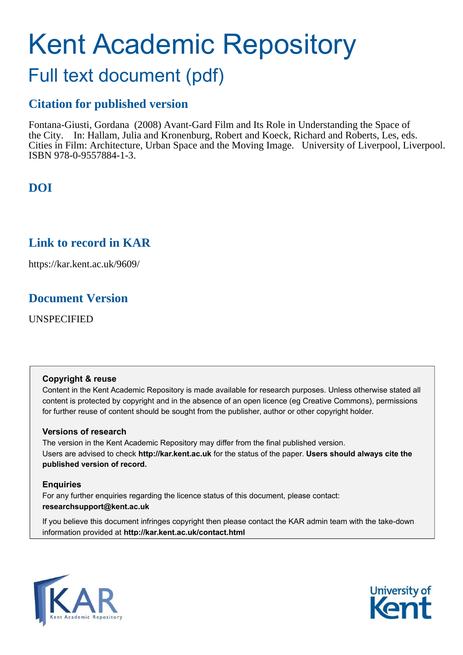# Kent Academic Repository

## Full text document (pdf)

## **Citation for published version**

Fontana-Giusti, Gordana (2008) Avant-Gard Film and Its Role in Understanding the Space of the City. In: Hallam, Julia and Kronenburg, Robert and Koeck, Richard and Roberts, Les, eds. Cities in Film: Architecture, Urban Space and the Moving Image. University of Liverpool, Liverpool. ISBN 978-0-9557884-1-3.

## **DOI**

## **Link to record in KAR**

https://kar.kent.ac.uk/9609/

## **Document Version**

UNSPECIFIED

#### **Copyright & reuse**

Content in the Kent Academic Repository is made available for research purposes. Unless otherwise stated all content is protected by copyright and in the absence of an open licence (eg Creative Commons), permissions for further reuse of content should be sought from the publisher, author or other copyright holder.

#### **Versions of research**

The version in the Kent Academic Repository may differ from the final published version. Users are advised to check **http://kar.kent.ac.uk** for the status of the paper. **Users should always cite the published version of record.**

#### **Enquiries**

For any further enquiries regarding the licence status of this document, please contact: **researchsupport@kent.ac.uk**

If you believe this document infringes copyright then please contact the KAR admin team with the take-down information provided at **http://kar.kent.ac.uk/contact.html**



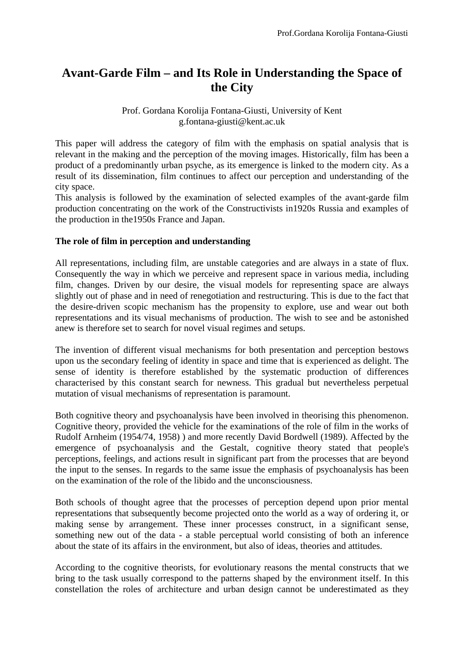## **Avant-Garde Film – and Its Role in Understanding the Space of the City**

#### Prof. Gordana Korolija Fontana-Giusti, University of Kent g.fontana-giusti@kent.ac.uk

This paper will address the category of film with the emphasis on spatial analysis that is relevant in the making and the perception of the moving images. Historically, film has been a product of a predominantly urban psyche, as its emergence is linked to the modern city. As a result of its dissemination, film continues to affect our perception and understanding of the city space.

This analysis is followed by the examination of selected examples of the avant-garde film production concentrating on the work of the Constructivists in1920s Russia and examples of the production in the1950s France and Japan.

#### **The role of film in perception and understanding**

All representations, including film, are unstable categories and are always in a state of flux. Consequently the way in which we perceive and represent space in various media, including film, changes. Driven by our desire, the visual models for representing space are always slightly out of phase and in need of renegotiation and restructuring. This is due to the fact that the desire-driven scopic mechanism has the propensity to explore, use and wear out both representations and its visual mechanisms of production. The wish to see and be astonished anew is therefore set to search for novel visual regimes and setups.

The invention of different visual mechanisms for both presentation and perception bestows upon us the secondary feeling of identity in space and time that is experienced as delight. The sense of identity is therefore established by the systematic production of differences characterised by this constant search for newness. This gradual but nevertheless perpetual mutation of visual mechanisms of representation is paramount.

Both cognitive theory and psychoanalysis have been involved in theorising this phenomenon. Cognitive theory, provided the vehicle for the examinations of the role of film in the works of Rudolf Arnheim (1954/74, 1958) ) and more recently David Bordwell (1989). Affected by the emergence of psychoanalysis and the Gestalt, cognitive theory stated that people's perceptions, feelings, and actions result in significant part from the processes that are beyond the input to the senses. In regards to the same issue the emphasis of psychoanalysis has been on the examination of the role of the libido and the unconsciousness.

Both schools of thought agree that the processes of perception depend upon prior mental representations that subsequently become projected onto the world as a way of ordering it, or making sense by arrangement. These inner processes construct, in a significant sense, something new out of the data - a stable perceptual world consisting of both an inference about the state of its affairs in the environment, but also of ideas, theories and attitudes.

According to the cognitive theorists, for evolutionary reasons the mental constructs that we bring to the task usually correspond to the patterns shaped by the environment itself. In this constellation the roles of architecture and urban design cannot be underestimated as they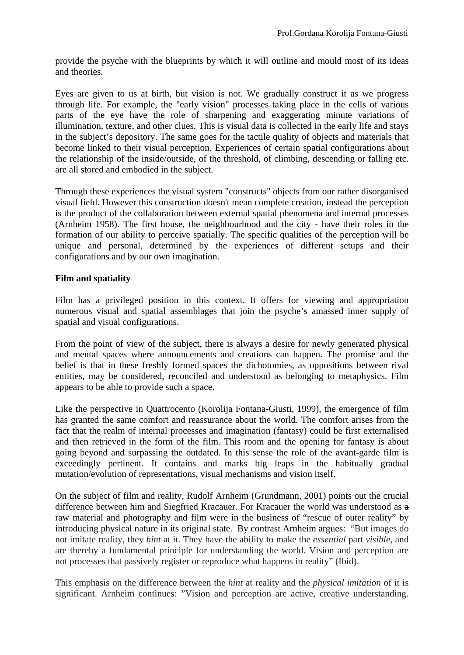provide the psyche with the blueprints by which it will outline and mould most of its ideas and theories.

Eyes are given to us at birth, but vision is not. We gradually construct it as we progress through life. For example, the "early vision" processes taking place in the cells of various parts of the eye have the role of sharpening and exaggerating minute variations of illumination, texture, and other clues. This is visual data is collected in the early life and stays in the subject's depository. The same goes for the tactile quality of objects and materials that become linked to their visual perception. Experiences of certain spatial configurations about the relationship of the inside/outside, of the threshold, of climbing, descending or falling etc. are all stored and embodied in the subject.

Through these experiences the visual system "constructs" objects from our rather disorganised visual field. However this construction doesn't mean complete creation, instead the perception is the product of the collaboration between external spatial phenomena and internal processes (Arnheim 1958). The first house, the neighbourhood and the city - have their roles in the formation of our ability to perceive spatially. The specific qualities of the perception will be unique and personal, determined by the experiences of different setups and their configurations and by our own imagination.

#### **Film and spatiality**

Film has a privileged position in this context. It offers for viewing and appropriation numerous visual and spatial assemblages that join the psyche's amassed inner supply of spatial and visual configurations.

From the point of view of the subject, there is always a desire for newly generated physical and mental spaces where announcements and creations can happen. The promise and the belief is that in these freshly formed spaces the dichotomies, as oppositions between rival entities, may be considered, reconciled and understood as belonging to metaphysics. Film appears to be able to provide such a space.

Like the perspective in Quattrocento (Korolija Fontana-Giusti, 1999), the emergence of film has granted the same comfort and reassurance about the world. The comfort arises from the fact that the realm of internal processes and imagination (fantasy) could be first externalised and then retrieved in the form of the film. This room and the opening for fantasy is about going beyond and surpassing the outdated. In this sense the role of the avant-garde film is exceedingly pertinent. It contains and marks big leaps in the habitually gradual mutation/evolution of representations, visual mechanisms and vision itself.

On the subject of film and reality, Rudolf Arnheim (Grundmann, 2001) points out the crucial difference between him and Siegfried Kracauer. For Kracauer the world was understood as a raw material and photography and film were in the business of "rescue of outer reality" by introducing physical nature in its original state. By contrast Arnheim argues: "But images do not imitate reality, they *hint* at it. They have the ability to make the *essential* part *visible*, and are thereby a fundamental principle for understanding the world. Vision and perception are not processes that passively register or reproduce what happens in reality" (Ibid).

This emphasis on the difference between the *hint* at reality and the *physical imitation* of it is significant. Arnheim continues: "Vision and perception are active, creative understanding.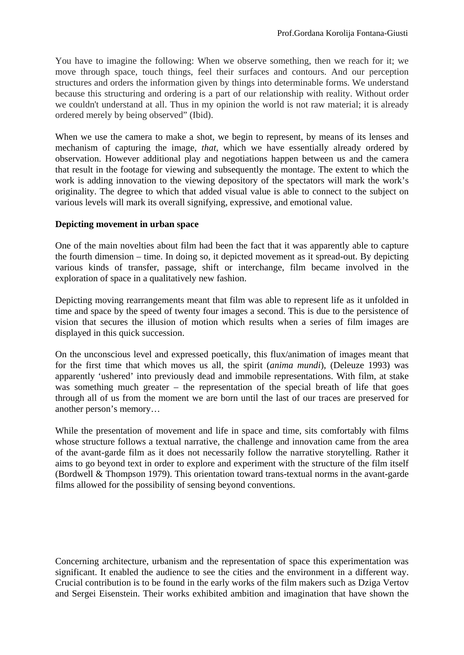You have to imagine the following: When we observe something, then we reach for it; we move through space, touch things, feel their surfaces and contours. And our perception structures and orders the information given by things into determinable forms. We understand because this structuring and ordering is a part of our relationship with reality. Without order we couldn't understand at all. Thus in my opinion the world is not raw material; it is already ordered merely by being observed" (Ibid).

When we use the camera to make a shot, we begin to represent, by means of its lenses and mechanism of capturing the image, *that*, which we have essentially already ordered by observation. However additional play and negotiations happen between us and the camera that result in the footage for viewing and subsequently the montage. The extent to which the work is adding innovation to the viewing depository of the spectators will mark the work's originality. The degree to which that added visual value is able to connect to the subject on various levels will mark its overall signifying, expressive, and emotional value.

#### **Depicting movement in urban space**

One of the main novelties about film had been the fact that it was apparently able to capture the fourth dimension – time. In doing so, it depicted movement as it spread-out. By depicting various kinds of transfer, passage, shift or interchange, film became involved in the exploration of space in a qualitatively new fashion.

Depicting moving rearrangements meant that film was able to represent life as it unfolded in time and space by the speed of twenty four images a second. This is due to the persistence of vision that secures the illusion of motion which results when a series of film images are displayed in this quick succession.

On the unconscious level and expressed poetically, this flux/animation of images meant that for the first time that which moves us all, the spirit (*anima mundi*), (Deleuze 1993) was apparently 'ushered' into previously dead and immobile representations. With film, at stake was something much greater – the representation of the special breath of life that goes through all of us from the moment we are born until the last of our traces are preserved for another person's memory…

While the presentation of movement and life in space and time, sits comfortably with films whose structure follows a textual narrative, the challenge and innovation came from the area of the avant-garde film as it does not necessarily follow the narrative storytelling. Rather it aims to go beyond text in order to explore and experiment with the structure of the film itself (Bordwell & Thompson 1979). This orientation toward trans-textual norms in the avant-garde films allowed for the possibility of sensing beyond conventions.

Concerning architecture, urbanism and the representation of space this experimentation was significant. It enabled the audience to see the cities and the environment in a different way. Crucial contribution is to be found in the early works of the film makers such as Dziga Vertov and Sergei Eisenstein. Their works exhibited ambition and imagination that have shown the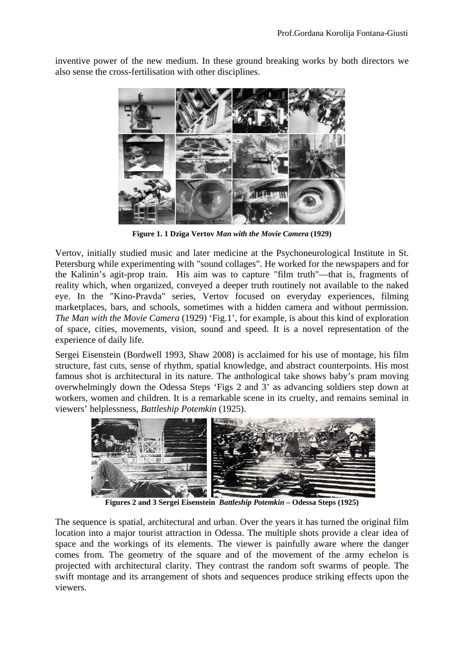inventive power of the new medium. In these ground breaking works by both directors we also sense the cross-fertilisation with other disciplines.



**Figure 1. 1 Dziga Vertov** *Man with the Movie Camera* **(1929)** 

Vertov, initially studied music and later medicine at the Psychoneurological Institute in St. Petersburg while experimenting with "sound collages". He worked for the newspapers and for the Kalinin's agit-prop train. His aim was to capture "film truth"—that is, fragments of reality which, when organized, conveyed a deeper truth routinely not available to the naked eye. In the "Kino-Pravda" series, Vertov focused on everyday experiences, filming marketplaces, bars, and schools, sometimes with a hidden camera and without permission. *The Man with the Movie Camera* (1929) 'Fig.1'*,* for example, is about this kind of exploration of space, cities, movements, vision, sound and speed. It is a novel representation of the experience of daily life.

Sergei Eisenstein (Bordwell 1993, Shaw 2008) is acclaimed for his use of montage, his film structure, fast cuts, sense of rhythm, spatial knowledge, and abstract counterpoints. His most famous shot is architectural in its nature. The anthological take shows baby's pram moving overwhelmingly down the Odessa Steps 'Figs 2 and 3' as advancing soldiers step down at workers, women and children. It is a remarkable scene in its cruelty, and remains seminal in viewers' helplessness, *Battleship Potemkin* (1925).



**Figures 2 and 3 Sergei Eisenstein** *Battleship Potemkin* **– Odessa Steps (1925)** 

The sequence is spatial, architectural and urban. Over the years it has turned the original film location into a major tourist attraction in Odessa. The multiple shots provide a clear idea of space and the workings of its elements. The viewer is painfully aware where the danger comes from. The geometry of the square and of the movement of the army echelon is projected with architectural clarity. They contrast the random soft swarms of people. The swift montage and its arrangement of shots and sequences produce striking effects upon the viewers.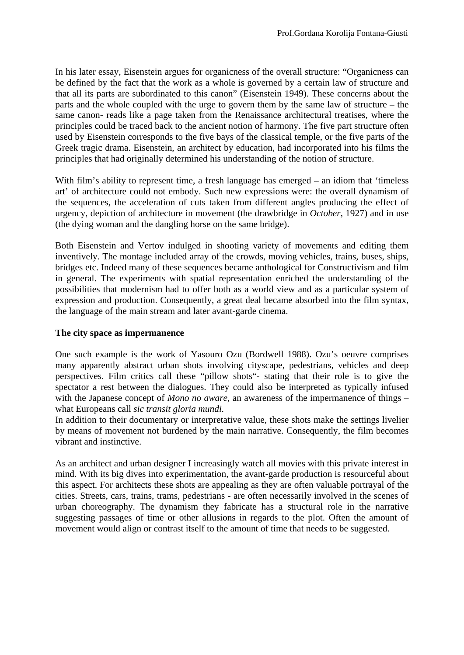In his later essay, Eisenstein argues for organicness of the overall structure: "Organicness can be defined by the fact that the work as a whole is governed by a certain law of structure and that all its parts are subordinated to this canon" (Eisenstein 1949). These concerns about the parts and the whole coupled with the urge to govern them by the same law of structure – the same canon- reads like a page taken from the Renaissance architectural treatises, where the principles could be traced back to the ancient notion of harmony. The five part structure often used by Eisenstein corresponds to the five bays of the classical temple, or the five parts of the Greek tragic drama. Eisenstein, an architect by education, had incorporated into his films the principles that had originally determined his understanding of the notion of structure.

With film's ability to represent time, a fresh language has emerged – an idiom that 'timeless art' of architecture could not embody. Such new expressions were: the overall dynamism of the sequences, the acceleration of cuts taken from different angles producing the effect of urgency, depiction of architecture in movement (the drawbridge in *October*, 1927) and in use (the dying woman and the dangling horse on the same bridge).

Both Eisenstein and Vertov indulged in shooting variety of movements and editing them inventively. The montage included array of the crowds, moving vehicles, trains, buses, ships, bridges etc. Indeed many of these sequences became anthological for Constructivism and film in general. The experiments with spatial representation enriched the understanding of the possibilities that modernism had to offer both as a world view and as a particular system of expression and production. Consequently, a great deal became absorbed into the film syntax, the language of the main stream and later avant-garde cinema.

#### **The city space as impermanence**

One such example is the work of Yasouro Ozu (Bordwell 1988). Ozu's oeuvre comprises many apparently abstract urban shots involving cityscape, pedestrians, vehicles and deep perspectives. Film critics call these "pillow shots"- stating that their role is to give the spectator a rest between the dialogues. They could also be interpreted as typically infused with the Japanese concept of *Mono no aware,* an awareness of the impermanence of things – what Europeans call *sic transit gloria mundi.*

In addition to their documentary or interpretative value, these shots make the settings livelier by means of movement not burdened by the main narrative. Consequently, the film becomes vibrant and instinctive.

As an architect and urban designer I increasingly watch all movies with this private interest in mind. With its big dives into experimentation, the avant-garde production is resourceful about this aspect. For architects these shots are appealing as they are often valuable portrayal of the cities. Streets, cars, trains, trams, pedestrians - are often necessarily involved in the scenes of urban choreography. The dynamism they fabricate has a structural role in the narrative suggesting passages of time or other allusions in regards to the plot. Often the amount of movement would align or contrast itself to the amount of time that needs to be suggested.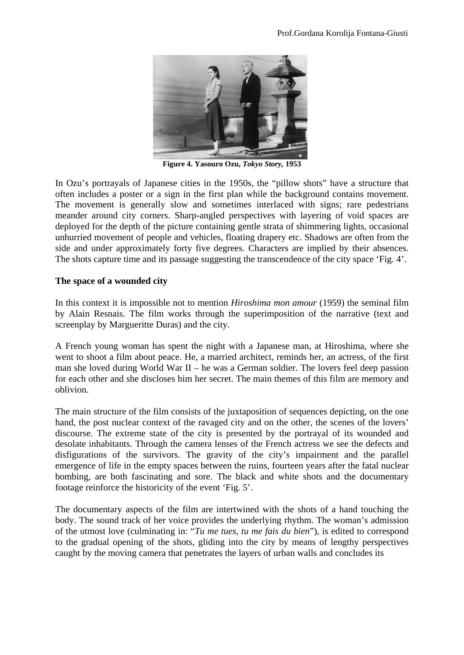

**Figure 4. Yasouro Ozu,** *Tokyo Story,* **1953** 

In Ozu's portrayals of Japanese cities in the 1950s, the "pillow shots" have a structure that often includes a poster or a sign in the first plan while the background contains movement. The movement is generally slow and sometimes interlaced with signs; rare pedestrians meander around city corners. Sharp-angled perspectives with layering of void spaces are deployed for the depth of the picture containing gentle strata of shimmering lights, occasional unhurried movement of people and vehicles, floating drapery etc. Shadows are often from the side and under approximately forty five degrees. Characters are implied by their absences. The shots capture time and its passage suggesting the transcendence of the city space 'Fig. 4'.

#### **The space of a wounded city**

In this context it is impossible not to mention *Hiroshima mon amour* (1959) the seminal film by Alain Resnais. The film works through the superimposition of the narrative (text and screenplay by Margueritte Duras) and the city.

A French young woman has spent the night with a Japanese man, at Hiroshima, where she went to shoot a film about peace. He, a married architect, reminds her, an actress, of the first man she loved during World War II – he was a German soldier. The lovers feel deep passion for each other and she discloses him her secret. The main themes of this film are memory and oblivion.

The main structure of the film consists of the juxtaposition of sequences depicting, on the one hand, the post nuclear context of the ravaged city and on the other, the scenes of the lovers' discourse. The extreme state of the city is presented by the portrayal of its wounded and desolate inhabitants. Through the camera lenses of the French actress we see the defects and disfigurations of the survivors. The gravity of the city's impairment and the parallel emergence of life in the empty spaces between the ruins, fourteen years after the fatal nuclear bombing, are both fascinating and sore. The black and white shots and the documentary footage reinforce the historicity of the event 'Fig. 5'.

The documentary aspects of the film are intertwined with the shots of a hand touching the body. The sound track of her voice provides the underlying rhythm. The woman's admission of the utmost love (culminating in: "*Tu me tues, tu me fais du bien*"), is edited to correspond to the gradual opening of the shots, gliding into the city by means of lengthy perspectives caught by the moving camera that penetrates the layers of urban walls and concludes its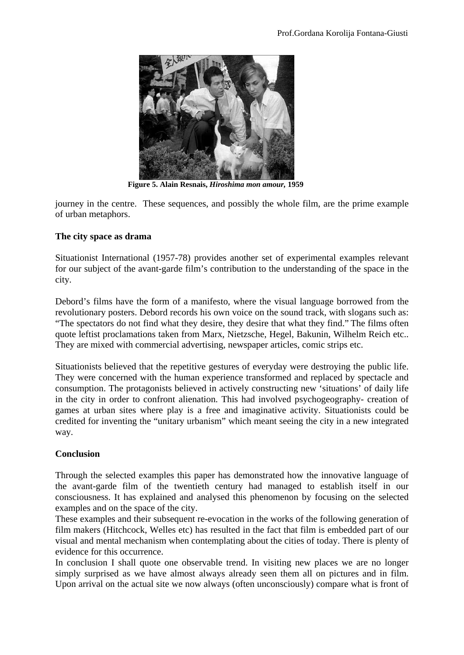

 **Figure 5. Alain Resnais,** *Hiroshima mon amour,* **1959** 

journey in the centre. These sequences, and possibly the whole film, are the prime example of urban metaphors.

#### **The city space as drama**

Situationist International (1957-78) provides another set of experimental examples relevant for our subject of the avant-garde film's contribution to the understanding of the space in the city.

Debord's films have the form of a manifesto, where the visual language borrowed from the revolutionary posters. Debord records his own voice on the sound track, with slogans such as: "The spectators do not find what they desire, they desire that what they find." The films often quote leftist proclamations taken from Marx, Nietzsche, Hegel, Bakunin, Wilhelm Reich etc.. They are mixed with commercial advertising, newspaper articles, comic strips etc.

Situationists believed that the repetitive gestures of everyday were destroying the public life. They were concerned with the human experience transformed and replaced by spectacle and consumption. The protagonists believed in actively constructing new 'situations' of daily life in the city in order to confront alienation. This had involved psychogeography- creation of games at urban sites where play is a free and imaginative activity. Situationists could be credited for inventing the "unitary urbanism" which meant seeing the city in a new integrated way.

#### **Conclusion**

Through the selected examples this paper has demonstrated how the innovative language of the avant-garde film of the twentieth century had managed to establish itself in our consciousness. It has explained and analysed this phenomenon by focusing on the selected examples and on the space of the city.

These examples and their subsequent re-evocation in the works of the following generation of film makers (Hitchcock, Welles etc) has resulted in the fact that film is embedded part of our visual and mental mechanism when contemplating about the cities of today. There is plenty of evidence for this occurrence.

In conclusion I shall quote one observable trend. In visiting new places we are no longer simply surprised as we have almost always already seen them all on pictures and in film. Upon arrival on the actual site we now always (often unconsciously) compare what is front of